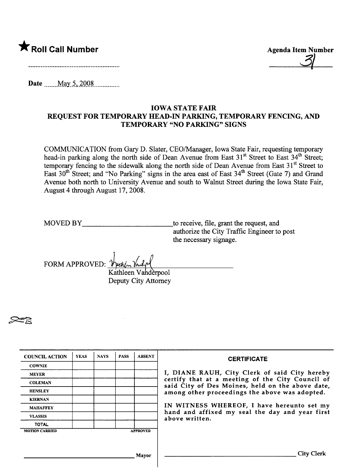## \* Roll Call Number Agenda Item Number

31

Date .mm\_M\_a.y--,-\_iQQ~..mmmm.

## IOWA STATE FAIR REQUEST FOR TEMPORARY HEAD-IN PARKING, TEMPORARY FENCING, AND TEMPORARY "NO PARKING" SIGNS

COMMUNICATION from Gary D. Slater, CEO/Manager, Iowa State Fair, requesting temporary head-in parking along the north side of Dean Avenue from East 31<sup>st</sup> Street to East 34<sup>th</sup> Street; temporary fencing to the sidewalk along the north side of Dean Avenue from East  $31<sup>st</sup>$  Street to East 30<sup>th</sup> Street; and "No Parking" signs in the area east of East 34<sup>th</sup> Street (Gate 7) and Grand Avenue both north to University Avenue and south to Walnut Street during the Iowa State Fair, August 4 though August 17,2008.

MOVED BY to receive, file, grant the request, and authorize the City Traffic Engineer to post the necessary signage.

FORM APPROVED:  $\gamma$ 

Kathleen Vanderpool Deputy City Attorney

~

| <b>COUNCIL ACTION</b> | <b>YEAS</b> | <b>NAYS</b> | <b>PASS</b> | <b>ABSENT</b>   | <b>CERTIFICATE</b>                                                                                                                                                                                                                                                                                                         |
|-----------------------|-------------|-------------|-------------|-----------------|----------------------------------------------------------------------------------------------------------------------------------------------------------------------------------------------------------------------------------------------------------------------------------------------------------------------------|
| <b>COWNIE</b>         |             |             |             |                 | I, DIANE RAUH, City Clerk of said City hereby<br>certify that at a meeting of the City Council of<br>said City of Des Moines, held on the above date,<br>among other proceedings the above was adopted.<br>IN WITNESS WHEREOF, I have hereunto set my<br>hand and affixed my seal the day and year first<br>above written. |
| <b>MEYER</b>          |             |             |             |                 |                                                                                                                                                                                                                                                                                                                            |
| <b>COLEMAN</b>        |             |             |             |                 |                                                                                                                                                                                                                                                                                                                            |
| <b>HENSLEY</b>        |             |             |             |                 |                                                                                                                                                                                                                                                                                                                            |
| <b>KIERNAN</b>        |             |             |             |                 |                                                                                                                                                                                                                                                                                                                            |
| <b>MAHAFFEY</b>       |             |             |             |                 |                                                                                                                                                                                                                                                                                                                            |
| <b>VLASSIS</b>        |             |             |             |                 |                                                                                                                                                                                                                                                                                                                            |
| <b>TOTAL</b>          |             |             |             |                 |                                                                                                                                                                                                                                                                                                                            |
| <b>MOTION CARRIED</b> |             |             |             | <b>APPROVED</b> |                                                                                                                                                                                                                                                                                                                            |
|                       |             |             |             |                 |                                                                                                                                                                                                                                                                                                                            |
|                       |             |             |             |                 |                                                                                                                                                                                                                                                                                                                            |
| Mayor                 |             |             |             |                 | City Clerk                                                                                                                                                                                                                                                                                                                 |